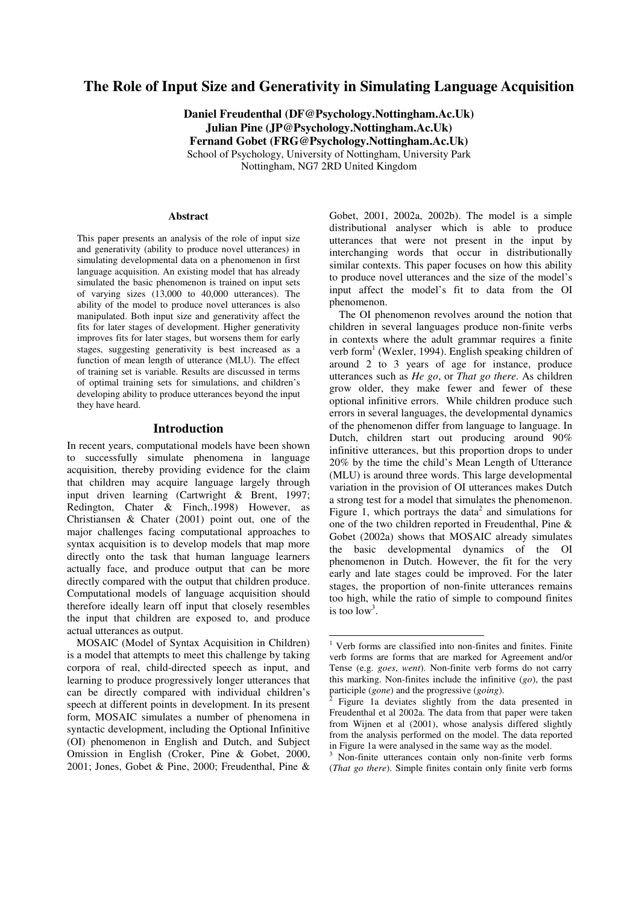# **The Role of Input Size and Generativity in Simulating Language Acquisition**

**Daniel Freudenthal (DF@Psychology.Nottingham.Ac.Uk) Julian Pine (JP@Psychology.Nottingham.Ac.Uk) Fernand Gobet (FRG@Psychology.Nottingham.Ac.Uk)** School of Psychology, University of Nottingham, University Park Nottingham, NG7 2RD United Kingdom

#### **Abstract**

This paper presents an analysis of the role of input size and generativity (ability to produce novel utterances) in simulating developmental data on a phenomenon in first language acquisition. An existing model that has already simulated the basic phenomenon is trained on input sets of varying sizes (13,000 to 40,000 utterances). The ability of the model to produce novel utterances is also manipulated. Both input size and generativity affect the fits for later stages of development. Higher generativity improves fits for later stages, but worsens them for early stages, suggesting generativity is best increased as a function of mean length of utterance (MLU). The effect of training set is variable. Results are discussed in terms of optimal training sets for simulations, and children's developing ability to produce utterances beyond the input they have heard.

#### **Introduction**

In recent years, computational models have been shown to successfully simulate phenomena in language acquisition, thereby providing evidence for the claim that children may acquire language largely through input driven learning (Cartwright & Brent, 1997; Redington, Chater & Finch,.1998) However, as Christiansen & Chater (2001) point out, one of the major challenges facing computational approaches to syntax acquisition is to develop models that map more directly onto the task that human language learners actually face, and produce output that can be more directly compared with the output that children produce. Computational models of language acquisition should therefore ideally learn off input that closely resembles the input that children are exposed to, and produce actual utterances as output.

MOSAIC (Model of Syntax Acquisition in Children) is a model that attempts to meet this challenge by taking corpora of real, child-directed speech as input, and learning to produce progressively longer utterances that can be directly compared with individual children's speech at different points in development. In its present form, MOSAIC simulates a number of phenomena in syntactic development, including the Optional Infinitive (OI) phenomenon in English and Dutch, and Subject Omission in English (Croker, Pine & Gobet, 2000, 2001; Jones, Gobet & Pine, 2000; Freudenthal, Pine & Gobet, 2001, 2002a, 2002b). The model is a simple distributional analyser which is able to produce utterances that were not present in the input by interchanging words that occur in distributionally similar contexts. This paper focuses on how this ability to produce novel utterances and the size of the model's input affect the model's fit to data from the OI phenomenon.

The OI phenomenon revolves around the notion that children in several languages produce non-finite verbs in contexts where the adult grammar requires a finite verb form<sup>1</sup> (Wexler, 1994). English speaking children of around 2 to 3 years of age for instance, produce utterances such as *He go*, or *That go there*. As children grow older, they make fewer and fewer of these optional infinitive errors. While children produce such errors in several languages, the developmental dynamics of the phenomenon differ from language to language. In Dutch, children start out producing around 90% infinitive utterances, but this proportion drops to under 20% by the time the child's Mean Length of Utterance (MLU) is around three words. This large developmental variation in the provision of OI utterances makes Dutch a strong test for a model that simulates the phenomenon. Figure 1, which portrays the data<sup>2</sup> and simulations for one of the two children reported in Freudenthal, Pine & Gobet (2002a) shows that MOSAIC already simulates the basic developmental dynamics of the OI phenomenon in Dutch. However, the fit for the very early and late stages could be improved. For the later stages, the proportion of non-finite utterances remains too high, while the ratio of simple to compound finites is too  $\log^3$ .

<sup>3</sup> Non-finite utterances contain only non-finite verb forms (*That go there*). Simple finites contain only finite verb forms

<sup>1</sup> Verb forms are classified into non-finites and finites. Finite verb forms are forms that are marked for Agreement and/or Tense (e.g. *goes*, *went*). Non-finite verb forms do not carry this marking. Non-finites include the infinitive (*go*), the past participle (*gone*) and the progressive (*going*).

 $\bar{2}$ Figure 1a deviates slightly from the data presented in Freudenthal et al 2002a. The data from that paper were taken from Wijnen et al (2001), whose analysis differed slightly from the analysis performed on the model. The data reported in Figure 1a were analysed in the same way as the model.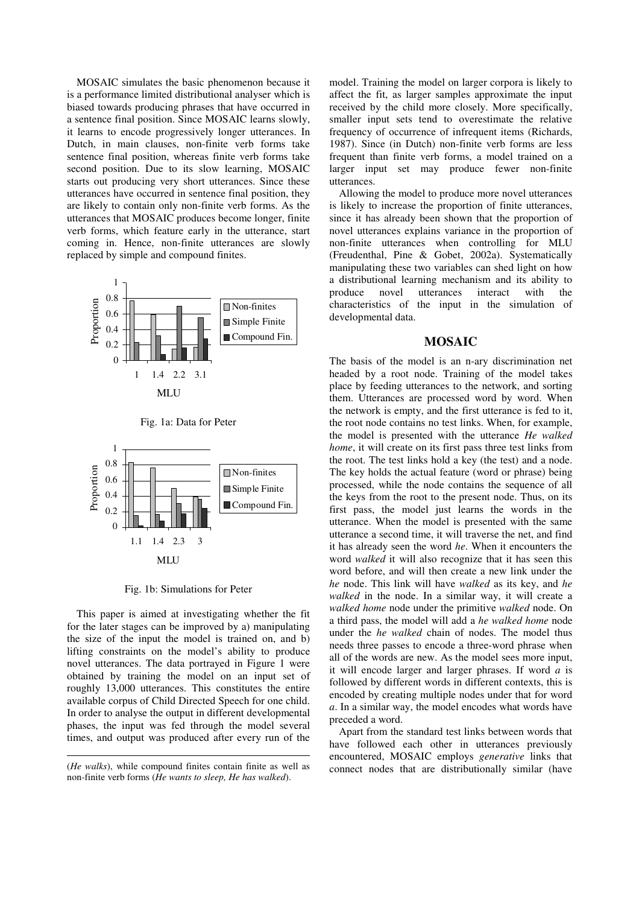MOSAIC simulates the basic phenomenon because it is a performance limited distributional analyser which is biased towards producing phrases that have occurred in a sentence final position. Since MOSAIC learns slowly, it learns to encode progressively longer utterances. In Dutch, in main clauses, non-finite verb forms take sentence final position, whereas finite verb forms take second position. Due to its slow learning, MOSAIC starts out producing very short utterances. Since these utterances have occurred in sentence final position, they are likely to contain only non-finite verb forms. As the utterances that MOSAIC produces become longer, finite verb forms, which feature early in the utterance, start coming in. Hence, non-finite utterances are slowly replaced by simple and compound finites.







Fig. 1b: Simulations for Peter

This paper is aimed at investigating whether the fit for the later stages can be improved by a) manipulating the size of the input the model is trained on, and b) lifting constraints on the model's ability to produce novel utterances. The data portrayed in Figure 1 were obtained by training the model on an input set of roughly 13,000 utterances. This constitutes the entire available corpus of Child Directed Speech for one child. In order to analyse the output in different developmental phases, the input was fed through the model several times, and output was produced after every run of the model. Training the model on larger corpora is likely to affect the fit, as larger samples approximate the input received by the child more closely. More specifically, smaller input sets tend to overestimate the relative frequency of occurrence of infrequent items (Richards, 1987). Since (in Dutch) non-finite verb forms are less frequent than finite verb forms, a model trained on a larger input set may produce fewer non-finite utterances.

Allowing the model to produce more novel utterances is likely to increase the proportion of finite utterances, since it has already been shown that the proportion of novel utterances explains variance in the proportion of non-finite utterances when controlling for MLU (Freudenthal, Pine & Gobet, 2002a). Systematically manipulating these two variables can shed light on how a distributional learning mechanism and its ability to produce novel utterances interact with the characteristics of the input in the simulation of developmental data.

## **MOSAIC**

The basis of the model is an n-ary discrimination net headed by a root node. Training of the model takes place by feeding utterances to the network, and sorting them. Utterances are processed word by word. When the network is empty, and the first utterance is fed to it, the root node contains no test links. When, for example, the model is presented with the utterance *He walked home*, it will create on its first pass three test links from the root. The test links hold a key (the test) and a node. The key holds the actual feature (word or phrase) being processed, while the node contains the sequence of all the keys from the root to the present node. Thus, on its first pass, the model just learns the words in the utterance. When the model is presented with the same utterance a second time, it will traverse the net, and find it has already seen the word *he*. When it encounters the word *walked* it will also recognize that it has seen this word before, and will then create a new link under the *he* node. This link will have *walked* as its key, and *he walked* in the node. In a similar way, it will create a *walked home* node under the primitive *walked* node. On a third pass, the model will add a *he walked home* node under the *he walked* chain of nodes. The model thus needs three passes to encode a three-word phrase when all of the words are new. As the model sees more input, it will encode larger and larger phrases. If word *a* is followed by different words in different contexts, this is encoded by creating multiple nodes under that for word *a*. In a similar way, the model encodes what words have preceded a word.

Apart from the standard test links between words that have followed each other in utterances previously encountered, MOSAIC employs *generative* links that connect nodes that are distributionally similar (have

<sup>(</sup>*He walks*), while compound finites contain finite as well as non-finite verb forms (*He wants to sleep, He has walked*).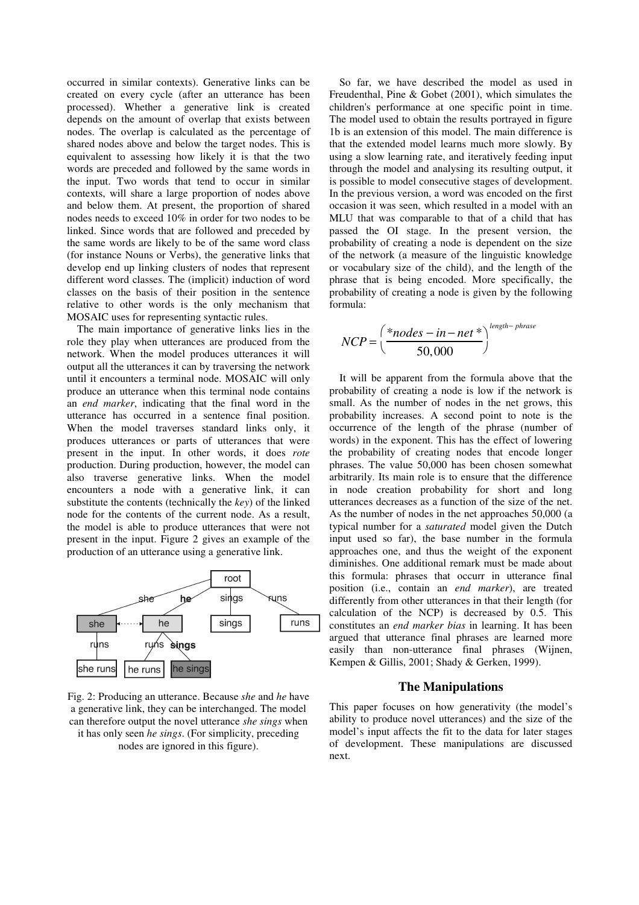occurred in similar contexts). Generative links can be created on every cycle (after an utterance has been processed). Whether a generative link is created depends on the amount of overlap that exists between nodes. The overlap is calculated as the percentage of shared nodes above and below the target nodes. This is equivalent to assessing how likely it is that the two words are preceded and followed by the same words in the input. Two words that tend to occur in similar contexts, will share a large proportion of nodes above and below them. At present, the proportion of shared nodes needs to exceed 10% in order for two nodes to be linked. Since words that are followed and preceded by the same words are likely to be of the same word class (for instance Nouns or Verbs), the generative links that develop end up linking clusters of nodes that represent different word classes. The (implicit) induction of word classes on the basis of their position in the sentence relative to other words is the only mechanism that MOSAIC uses for representing syntactic rules.

The main importance of generative links lies in the role they play when utterances are produced from the network. When the model produces utterances it will output all the utterances it can by traversing the network until it encounters a terminal node. MOSAIC will only produce an utterance when this terminal node contains an *end marker*, indicating that the final word in the utterance has occurred in a sentence final position. When the model traverses standard links only, it produces utterances or parts of utterances that were present in the input. In other words, it does *rote* production. During production, however, the model can also traverse generative links. When the model encounters a node with a generative link, it can substitute the contents (technically the *key*) of the linked node for the contents of the current node. As a result, the model is able to produce utterances that were not present in the input. Figure 2 gives an example of the production of an utterance using a generative link.



Fig. 2: Producing an utterance. Because *she* and *he* have a generative link, they can be interchanged. The model can therefore output the novel utterance *she sings* when it has only seen *he sings*. (For simplicity, preceding nodes are ignored in this figure).

So far, we have described the model as used in Freudenthal, Pine & Gobet (2001), which simulates the children's performance at one specific point in time. The model used to obtain the results portrayed in figure 1b is an extension of this model. The main difference is that the extended model learns much more slowly. By using a slow learning rate, and iteratively feeding input through the model and analysing its resulting output, it is possible to model consecutive stages of development. In the previous version, a word was encoded on the first occasion it was seen, which resulted in a model with an MLU that was comparable to that of a child that has passed the OI stage. In the present version, the probability of creating a node is dependent on the size of the network (a measure of the linguistic knowledge or vocabulary size of the child), and the length of the phrase that is being encoded. More specifically, the probability of creating a node is given by the following formula:

$$
NCP = \left(\frac{*nodes - in - net *}{50,000}\right)^{length - phrase}
$$

It will be apparent from the formula above that the probability of creating a node is low if the network is small. As the number of nodes in the net grows, this probability increases. A second point to note is the occurrence of the length of the phrase (number of words) in the exponent. This has the effect of lowering the probability of creating nodes that encode longer phrases. The value 50,000 has been chosen somewhat arbitrarily. Its main role is to ensure that the difference in node creation probability for short and long utterances decreases as a function of the size of the net. As the number of nodes in the net approaches 50,000 (a typical number for a *saturated* model given the Dutch input used so far), the base number in the formula approaches one, and thus the weight of the exponent diminishes. One additional remark must be made about this formula: phrases that occurr in utterance final position (i.e., contain an *end marker*), are treated differently from other utterances in that their length (for calculation of the NCP) is decreased by 0.5. This constitutes an *end marker bias* in learning. It has been argued that utterance final phrases are learned more easily than non-utterance final phrases (Wijnen, Kempen & Gillis, 2001; Shady & Gerken, 1999).

## **The Manipulations**

This paper focuses on how generativity (the model's ability to produce novel utterances) and the size of the model's input affects the fit to the data for later stages of development. These manipulations are discussed next.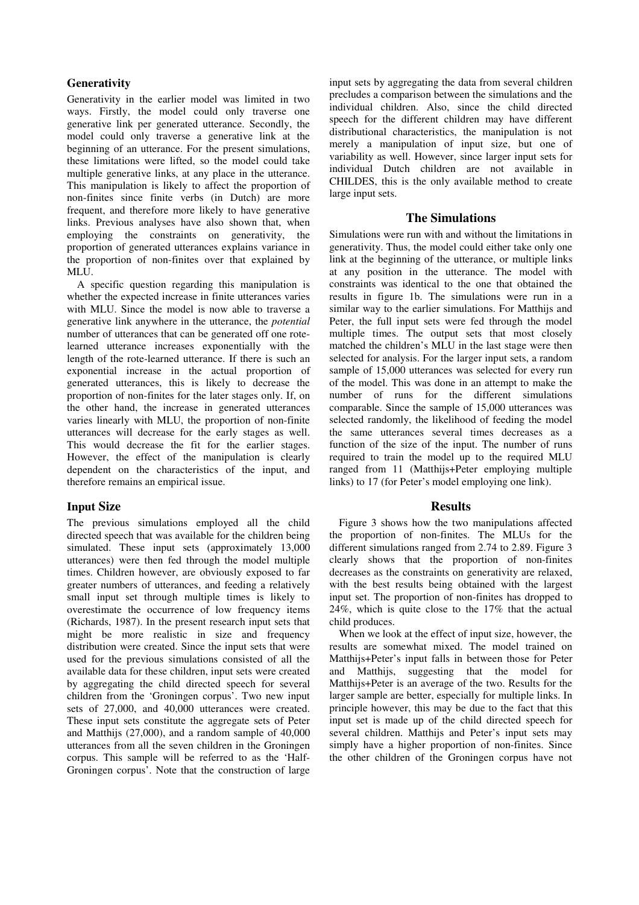## **Generativity**

Generativity in the earlier model was limited in two ways. Firstly, the model could only traverse one generative link per generated utterance. Secondly, the model could only traverse a generative link at the beginning of an utterance. For the present simulations, these limitations were lifted, so the model could take multiple generative links, at any place in the utterance. This manipulation is likely to affect the proportion of non-finites since finite verbs (in Dutch) are more frequent, and therefore more likely to have generative links. Previous analyses have also shown that, when employing the constraints on generativity, the proportion of generated utterances explains variance in the proportion of non-finites over that explained by MLU.

A specific question regarding this manipulation is whether the expected increase in finite utterances varies with MLU. Since the model is now able to traverse a generative link anywhere in the utterance, the *potential* number of utterances that can be generated off one rotelearned utterance increases exponentially with the length of the rote-learned utterance. If there is such an exponential increase in the actual proportion of generated utterances, this is likely to decrease the proportion of non-finites for the later stages only. If, on the other hand, the increase in generated utterances varies linearly with MLU, the proportion of non-finite utterances will decrease for the early stages as well. This would decrease the fit for the earlier stages. However, the effect of the manipulation is clearly dependent on the characteristics of the input, and therefore remains an empirical issue.

# **Input Size**

The previous simulations employed all the child directed speech that was available for the children being simulated. These input sets (approximately 13,000 utterances) were then fed through the model multiple times. Children however, are obviously exposed to far greater numbers of utterances, and feeding a relatively small input set through multiple times is likely to overestimate the occurrence of low frequency items (Richards, 1987). In the present research input sets that might be more realistic in size and frequency distribution were created. Since the input sets that were used for the previous simulations consisted of all the available data for these children, input sets were created by aggregating the child directed speech for several children from the 'Groningen corpus'. Two new input sets of 27,000, and 40,000 utterances were created. These input sets constitute the aggregate sets of Peter and Matthijs (27,000), and a random sample of 40,000 utterances from all the seven children in the Groningen corpus. This sample will be referred to as the 'Half-Groningen corpus'. Note that the construction of large

input sets by aggregating the data from several children precludes a comparison between the simulations and the individual children. Also, since the child directed speech for the different children may have different distributional characteristics, the manipulation is not merely a manipulation of input size, but one of variability as well. However, since larger input sets for individual Dutch children are not available in CHILDES, this is the only available method to create large input sets.

# **The Simulations**

Simulations were run with and without the limitations in generativity. Thus, the model could either take only one link at the beginning of the utterance, or multiple links at any position in the utterance. The model with constraints was identical to the one that obtained the results in figure 1b. The simulations were run in a similar way to the earlier simulations. For Matthijs and Peter, the full input sets were fed through the model multiple times. The output sets that most closely matched the children's MLU in the last stage were then selected for analysis. For the larger input sets, a random sample of 15,000 utterances was selected for every run of the model. This was done in an attempt to make the number of runs for the different simulations comparable. Since the sample of 15,000 utterances was selected randomly, the likelihood of feeding the model the same utterances several times decreases as a function of the size of the input. The number of runs required to train the model up to the required MLU ranged from 11 (Matthijs+Peter employing multiple links) to 17 (for Peter's model employing one link).

# **Results**

Figure 3 shows how the two manipulations affected the proportion of non-finites. The MLUs for the different simulations ranged from 2.74 to 2.89. Figure 3 clearly shows that the proportion of non-finites decreases as the constraints on generativity are relaxed, with the best results being obtained with the largest input set. The proportion of non-finites has dropped to 24%, which is quite close to the 17% that the actual child produces.

When we look at the effect of input size, however, the results are somewhat mixed. The model trained on Matthijs+Peter's input falls in between those for Peter and Matthijs, suggesting that the model for Matthijs+Peter is an average of the two. Results for the larger sample are better, especially for multiple links. In principle however, this may be due to the fact that this input set is made up of the child directed speech for several children. Matthijs and Peter's input sets may simply have a higher proportion of non-finites. Since the other children of the Groningen corpus have not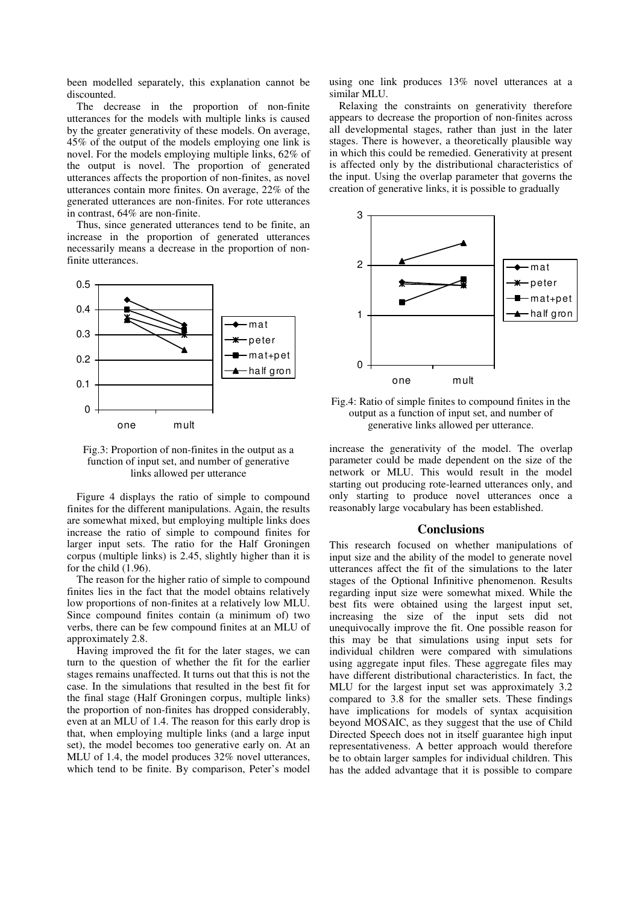been modelled separately, this explanation cannot be discounted.

The decrease in the proportion of non-finite utterances for the models with multiple links is caused by the greater generativity of these models. On average, 45% of the output of the models employing one link is novel. For the models employing multiple links, 62% of the output is novel. The proportion of generated utterances affects the proportion of non-finites, as novel utterances contain more finites. On average, 22% of the generated utterances are non-finites. For rote utterances in contrast, 64% are non-finite.

Thus, since generated utterances tend to be finite, an increase in the proportion of generated utterances necessarily means a decrease in the proportion of nonfinite utterances.



Fig.3: Proportion of non-finites in the output as a function of input set, and number of generative links allowed per utterance

Figure 4 displays the ratio of simple to compound finites for the different manipulations. Again, the results are somewhat mixed, but employing multiple links does increase the ratio of simple to compound finites for larger input sets. The ratio for the Half Groningen corpus (multiple links) is 2.45, slightly higher than it is for the child (1.96).

The reason for the higher ratio of simple to compound finites lies in the fact that the model obtains relatively low proportions of non-finites at a relatively low MLU. Since compound finites contain (a minimum of) two verbs, there can be few compound finites at an MLU of approximately 2.8.

Having improved the fit for the later stages, we can turn to the question of whether the fit for the earlier stages remains unaffected. It turns out that this is not the case. In the simulations that resulted in the best fit for the final stage (Half Groningen corpus, multiple links) the proportion of non-finites has dropped considerably, even at an MLU of 1.4. The reason for this early drop is that, when employing multiple links (and a large input set), the model becomes too generative early on. At an MLU of 1.4, the model produces 32% novel utterances, which tend to be finite. By comparison, Peter's model using one link produces 13% novel utterances at a similar MLU.

Relaxing the constraints on generativity therefore appears to decrease the proportion of non-finites across all developmental stages, rather than just in the later stages. There is however, a theoretically plausible way in which this could be remedied. Generativity at present is affected only by the distributional characteristics of the input. Using the overlap parameter that governs the creation of generative links, it is possible to gradually



Fig.4: Ratio of simple finites to compound finites in the output as a function of input set, and number of generative links allowed per utterance.

increase the generativity of the model. The overlap parameter could be made dependent on the size of the network or MLU. This would result in the model starting out producing rote-learned utterances only, and only starting to produce novel utterances once a reasonably large vocabulary has been established.

### **Conclusions**

This research focused on whether manipulations of input size and the ability of the model to generate novel utterances affect the fit of the simulations to the later stages of the Optional Infinitive phenomenon. Results regarding input size were somewhat mixed. While the best fits were obtained using the largest input set, increasing the size of the input sets did not unequivocally improve the fit. One possible reason for this may be that simulations using input sets for individual children were compared with simulations using aggregate input files. These aggregate files may have different distributional characteristics. In fact, the MLU for the largest input set was approximately 3.2 compared to 3.8 for the smaller sets. These findings have implications for models of syntax acquisition beyond MOSAIC, as they suggest that the use of Child Directed Speech does not in itself guarantee high input representativeness. A better approach would therefore be to obtain larger samples for individual children. This has the added advantage that it is possible to compare